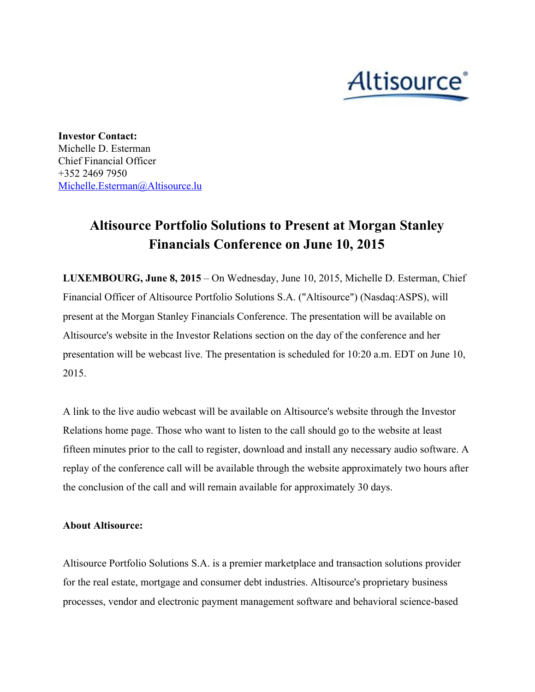## Altisource<sup>®</sup>

**Investor Contact:** Michelle D. Esterman Chief Financial Officer +352 2469 7950 [Michelle.Esterman@Altisource.lu](mailto:Michelle.Esterman@Altisource.lu)

## **Altisource Portfolio Solutions to Present at Morgan Stanley Financials Conference on June 10, 2015**

**LUXEMBOURG, June 8, 2015**– On Wednesday, June 10, 2015, Michelle D. Esterman, Chief Financial Officer of Altisource Portfolio Solutions S.A. ("Altisource") (Nasdaq:ASPS), will present at the Morgan Stanley Financials Conference. The presentation will be available on Altisource's website in the Investor Relations section on the day of the conference and her presentation will be webcast live. The presentation is scheduled for 10:20 a.m. EDT on June 10, 2015.

A link to the live audio webcast will be available on Altisource's website through the Investor Relations home page. Those who want to listen to the call should go to the website at least fifteen minutes prior to the call to register, download and install any necessary audio software. A replay of the conference call will be available through the website approximately two hours after the conclusion of the call and will remain available for approximately 30 days.

## **About Altisource:**

Altisource Portfolio Solutions S.A. is a premier marketplace and transaction solutions provider for the real estate, mortgage and consumer debt industries. Altisource's proprietary business processes, vendor and electronic payment management software and behavioral science-based